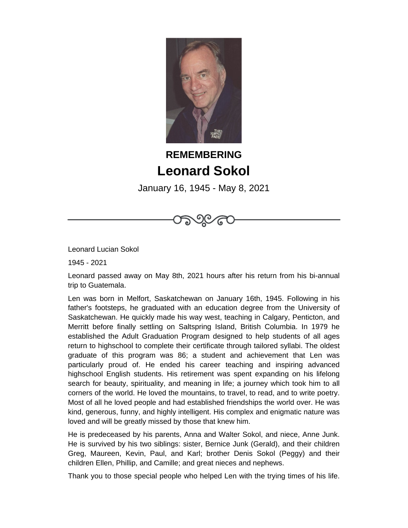

## **REMEMBERING Leonard Sokol**

January 16, 1945 - May 8, 2021

Leonard Lucian Sokol

1945 - 2021

Leonard passed away on May 8th, 2021 hours after his return from his bi-annual trip to Guatemala.

Len was born in Melfort, Saskatchewan on January 16th, 1945. Following in his father's footsteps, he graduated with an education degree from the University of Saskatchewan. He quickly made his way west, teaching in Calgary, Penticton, and Merritt before finally settling on Saltspring Island, British Columbia. In 1979 he established the Adult Graduation Program designed to help students of all ages return to highschool to complete their certificate through tailored syllabi. The oldest graduate of this program was 86; a student and achievement that Len was particularly proud of. He ended his career teaching and inspiring advanced highschool English students. His retirement was spent expanding on his lifelong search for beauty, spirituality, and meaning in life; a journey which took him to all corners of the world. He loved the mountains, to travel, to read, and to write poetry. Most of all he loved people and had established friendships the world over. He was kind, generous, funny, and highly intelligent. His complex and enigmatic nature was loved and will be greatly missed by those that knew him.

He is predeceased by his parents, Anna and Walter Sokol, and niece, Anne Junk. He is survived by his two siblings: sister, Bernice Junk (Gerald), and their children Greg, Maureen, Kevin, Paul, and Karl; brother Denis Sokol (Peggy) and their children Ellen, Phillip, and Camille; and great nieces and nephews.

Thank you to those special people who helped Len with the trying times of his life.